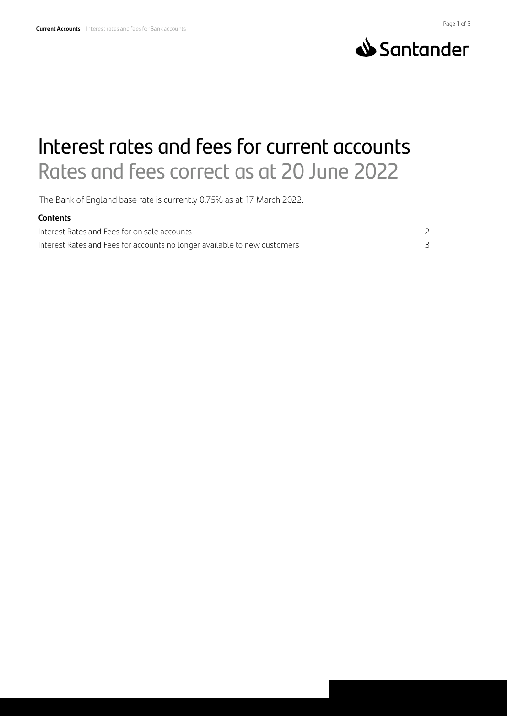



# Interest rates and fees for current accounts Rates and fees correct as at 20 June 2022

The Bank of England base rate is currently 0.75% as at 17 March 2022.

#### **Contents**

Interest Rates and Fees for on sale accounts 2 Interest Rates and Fees for accounts no longer available to new customers 3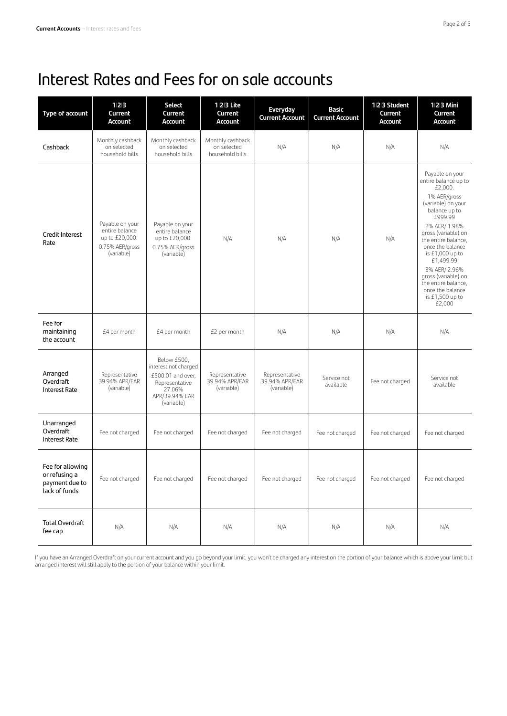# Interest Rates and Fees for on sale accounts

| Type of account                                                      | 1 2 3<br>Current<br><b>Account</b>                                                   | <b>Select</b><br>Current<br><b>Account</b>                                                                           | 1 2 3 Lite<br>Current<br><b>Account</b>            | Everyday<br><b>Current Account</b>             | <b>Basic</b><br><b>Current Account</b> | 1 2 3 Student<br>Current<br>Account | 123 Mini<br>Current<br><b>Account</b>                                                                                                                                                                                                                                                                                                                     |
|----------------------------------------------------------------------|--------------------------------------------------------------------------------------|----------------------------------------------------------------------------------------------------------------------|----------------------------------------------------|------------------------------------------------|----------------------------------------|-------------------------------------|-----------------------------------------------------------------------------------------------------------------------------------------------------------------------------------------------------------------------------------------------------------------------------------------------------------------------------------------------------------|
| Cashback                                                             | Monthly cashback<br>on selected<br>household bills                                   | Monthly cashback<br>on selected<br>household bills                                                                   | Monthly cashback<br>on selected<br>household bills | N/A                                            | N/A                                    | N/A                                 | N/A                                                                                                                                                                                                                                                                                                                                                       |
| Credit Interest<br>Rate                                              | Payable on your<br>entire balance<br>up to £20,000.<br>0.75% AER/gross<br>(variable) | Payable on your<br>entire balance<br>up to £20,000.<br>0.75% AER/gross<br>(variable)                                 | N/A                                                | N/A                                            | N/A                                    | N/A                                 | Payable on your<br>entire balance up to<br>£2,000.<br>1% AER/gross<br>(variable) on your<br>balance up to<br>£999.99<br>2% AER/ 1.98%<br>gross (variable) on<br>the entire balance,<br>once the balance<br>is $£1,000$ up to<br>£1,499.99<br>3% AER/ 2.96%<br>gross (variable) on<br>the entire balance,<br>once the balance<br>is £1,500 up to<br>£2,000 |
| Fee for<br>maintaining<br>the account                                | £4 per month                                                                         | £4 per month                                                                                                         | £2 per month                                       | N/A                                            | N/A                                    | N/A                                 | N/A                                                                                                                                                                                                                                                                                                                                                       |
| Arranged<br>Overdraft<br><b>Interest Rate</b>                        | Representative<br>39.94% APR/EAR<br>(variable)                                       | Below £500,<br>interest not charged<br>£500.01 and over,<br>Representative<br>27.06%<br>APR/39.94% EAR<br>(variable) | Representative<br>39.94% APR/EAR<br>(variable)     | Representative<br>39.94% APR/EAR<br>(variable) | Service not<br>available               | Fee not charged                     | Service not<br>available                                                                                                                                                                                                                                                                                                                                  |
| Unarranged<br>Overdraft<br><b>Interest Rate</b>                      | Fee not charged                                                                      | Fee not charged                                                                                                      | Fee not charged                                    | Fee not charged                                | Fee not charged                        | Fee not charged                     | Fee not charged                                                                                                                                                                                                                                                                                                                                           |
| Fee for allowing<br>or refusing a<br>payment due to<br>lack of funds | Fee not charged                                                                      | Fee not charged                                                                                                      | Fee not charged                                    | Fee not charged                                | Fee not charged                        | Fee not charged                     | Fee not charged                                                                                                                                                                                                                                                                                                                                           |
| <b>Total Overdraft</b><br>fee cap                                    | N/A                                                                                  | N/A                                                                                                                  | N/A                                                | N/A                                            | N/A                                    | N/A                                 | N/A                                                                                                                                                                                                                                                                                                                                                       |

If you have an Arranged Overdraft on your current account and you go beyond your limit, you won't be charged any interest on the portion of your balance which is above your limit but arranged interest will still apply to the portion of your balance within your limit.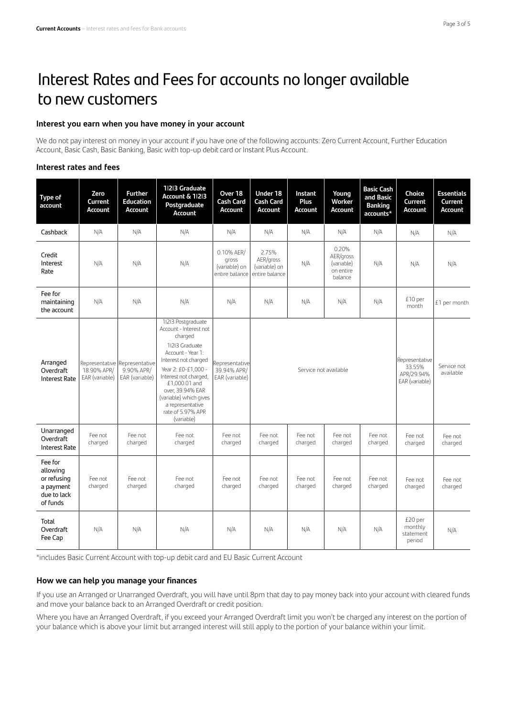# Interest Rates and Fees for accounts no longer available to new customers

#### **Interest you earn when you have money in your account**

We do not pay interest on money in your account if you have one of the following accounts: Zero Current Account, Further Education Account, Basic Cash, Basic Banking, Basic with top-up debit card or Instant Plus Account.

#### **Interest rates and fees**

| Type of<br>account                                                         | Zero<br>Current<br>Account    | <b>Further</b><br><b>Education</b><br>Account                 | 1 2 3 Graduate<br><b>Account &amp; 11213</b><br>Postgraduate<br><b>Account</b>                                                                                                                                                                                                               | Over 18<br><b>Cash Card</b><br>Account                 | Under 18<br><b>Cash Card</b><br><b>Account</b>        | Instant<br>Plus<br>Account | Young<br>Worker<br><b>Account</b>                        | <b>Basic Cash</b><br>and Basic<br><b>Banking</b><br>accounts* | Choice<br>Current<br>Account              | <b>Essentials</b><br>Current<br>Account |
|----------------------------------------------------------------------------|-------------------------------|---------------------------------------------------------------|----------------------------------------------------------------------------------------------------------------------------------------------------------------------------------------------------------------------------------------------------------------------------------------------|--------------------------------------------------------|-------------------------------------------------------|----------------------------|----------------------------------------------------------|---------------------------------------------------------------|-------------------------------------------|-----------------------------------------|
| Cashback                                                                   | N/A                           | N/A                                                           | N/A                                                                                                                                                                                                                                                                                          | N/A                                                    | N/A                                                   | N/A                        | N/A                                                      | N/A                                                           | N/A                                       | N/A                                     |
| Credit<br>Interest<br>Rate                                                 | N/A                           | N/A                                                           | N/A                                                                                                                                                                                                                                                                                          | 0.10% AER/<br>gross<br>(variable) on<br>entire balance | 2.75%<br>AER/gross<br>(variable) on<br>entire balance | N/A                        | 0.20%<br>AER/gross<br>(variable)<br>on entire<br>balance | N/A                                                           | N/A                                       | N/A                                     |
| Fee for<br>maintaining<br>the account                                      | N/A                           | N/A                                                           | N/A                                                                                                                                                                                                                                                                                          | N/A                                                    | N/A                                                   | N/A                        | N/A                                                      | N/A                                                           | £10 per<br>month                          | £1 per month                            |
| Arranged<br>Overdraft<br><b>Interest Rate</b>                              | 18.90% APR/<br>EAR (variable) | Representative Representative<br>9.90% APR/<br>EAR (variable) | 11213 Postgraduate<br>Account - Interest not<br>charged<br>11213 Graduate<br>Account - Year 1:<br>Interest not charged<br>Year 2: £0-£1.000 -<br>Interest not charged,<br>£1,000.01 and<br>over, 39.94% EAR<br>(variable) which gives<br>a representative<br>rate of 5.97% APR<br>(variable) | Representative<br>39.94% APR/<br>EAR (variable)        | Service not available                                 |                            |                                                          | Representative<br>33.55%<br>APR/29.94%<br>EAR (variable)      | Service not<br>available                  |                                         |
| Unarranged<br>Overdraft<br><b>Interest Rate</b>                            | Fee not<br>charged            | Fee not<br>charged                                            | Fee not<br>charged                                                                                                                                                                                                                                                                           | Fee not<br>charged                                     | Fee not<br>charged                                    | Fee not<br>charged         | Fee not<br>charged                                       | Fee not<br>charged                                            | Fee not<br>charged                        | Fee not<br>charged                      |
| Fee for<br>allowing<br>or refusing<br>a payment<br>due to lack<br>of funds | Fee not<br>charged            | Fee not<br>charged                                            | Fee not<br>charged                                                                                                                                                                                                                                                                           | Fee not<br>charged                                     | Fee not<br>charged                                    | Fee not<br>charged         | Fee not<br>charged                                       | Fee not<br>charged                                            | Fee not<br>charged                        | Fee not<br>charged                      |
| Total<br>Overdraft<br>Fee Cap                                              | N/A                           | N/A                                                           | N/A                                                                                                                                                                                                                                                                                          | N/A                                                    | N/A                                                   | N/A                        | N/A                                                      | N/A                                                           | £20 per<br>monthly<br>statement<br>period | N/A                                     |

\*includes Basic Current Account with top-up debit card and EU Basic Current Account

#### **How we can help you manage your finances**

If you use an Arranged or Unarranged Overdraft, you will have until 8pm that day to pay money back into your account with cleared funds and move your balance back to an Arranged Overdraft or credit position.

Where you have an Arranged Overdraft, if you exceed your Arranged Overdraft limit you won't be charged any interest on the portion of your balance which is above your limit but arranged interest will still apply to the portion of your balance within your limit.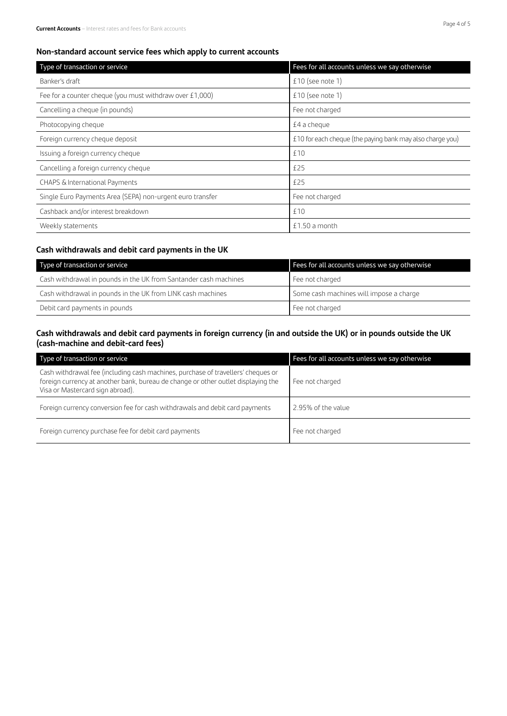| Type of transaction or service                            | Fees for all accounts unless we say otherwise             |  |  |
|-----------------------------------------------------------|-----------------------------------------------------------|--|--|
| Banker's draft                                            | $£10$ (see note 1)                                        |  |  |
| Fee for a counter cheque (you must withdraw over £1,000)  | $£10$ (see note 1)                                        |  |  |
| Cancelling a cheque (in pounds)                           | Fee not charged                                           |  |  |
| Photocopying cheque                                       | £4 a cheque                                               |  |  |
| Foreign currency cheque deposit                           | £10 for each cheque (the paying bank may also charge you) |  |  |
| Issuing a foreign currency cheque                         | £10                                                       |  |  |
| Cancelling a foreign currency cheque                      | £25                                                       |  |  |
| CHAPS & International Payments                            | £25                                                       |  |  |
| Single Euro Payments Area (SEPA) non-urgent euro transfer | Fee not charged                                           |  |  |
| Cashback and/or interest breakdown                        | £10                                                       |  |  |
| Weekly statements                                         | £1.50 a month                                             |  |  |

### **Cash withdrawals and debit card payments in the UK**

| Type of transaction or service                                   | Fees for all accounts unless we say otherwise |
|------------------------------------------------------------------|-----------------------------------------------|
| Cash withdrawal in pounds in the UK from Santander cash machines | Fee not charged                               |
| Cash withdrawal in pounds in the UK from LINK cash machines      | Some cash machines will impose a charge       |
| Debit card payments in pounds                                    | Fee not charged                               |

# **Cash withdrawals and debit card payments in foreign currency (in and outside the UK) or in pounds outside the UK (cash-machine and debit-card fees)**

| Type of transaction or service                                                                                                                                                                            | Fees for all accounts unless we say otherwise |
|-----------------------------------------------------------------------------------------------------------------------------------------------------------------------------------------------------------|-----------------------------------------------|
| Cash withdrawal fee (including cash machines, purchase of travellers' cheques or<br>foreign currency at another bank, bureau de change or other outlet displaying the<br>Visa or Mastercard sign abroad). | Fee not charged                               |
| Foreign currency conversion fee for cash withdrawals and debit card payments                                                                                                                              | 2.95% of the value                            |
| Foreign currency purchase fee for debit card payments                                                                                                                                                     | Fee not charged                               |